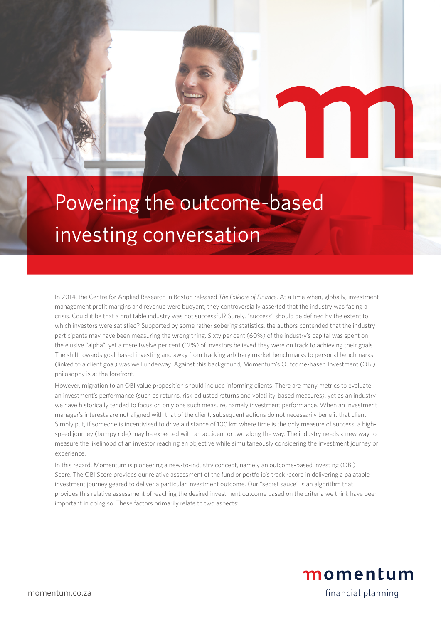# Powering the outcome-based investing conversation

In 2014, the Centre for Applied Research in Boston released *The Folklore of Finance*. At a time when, globally, investment management profit margins and revenue were buoyant, they controversially asserted that the industry was facing a crisis. Could it be that a profitable industry was not successful? Surely, "success" should be defined by the extent to which investors were satisfied? Supported by some rather sobering statistics, the authors contended that the industry participants may have been measuring the wrong thing. Sixty per cent (60%) of the industry's capital was spent on the elusive "alpha", yet a mere twelve per cent (12%) of investors believed they were on track to achieving their goals. The shift towards goal-based investing and away from tracking arbitrary market benchmarks to personal benchmarks (linked to a client goal) was well underway. Against this background, Momentum's Outcome-based Investment (OBI) philosophy is at the forefront.

However, migration to an OBI value proposition should include informing clients. There are many metrics to evaluate an investment's performance (such as returns, risk-adjusted returns and volatility-based measures), yet as an industry we have historically tended to focus on only one such measure, namely investment performance. When an investment manager's interests are not aligned with that of the client, subsequent actions do not necessarily benefit that client. Simply put, if someone is incentivised to drive a distance of 100 km where time is the only measure of success, a highspeed journey (bumpy ride) may be expected with an accident or two along the way. The industry needs a new way to measure the likelihood of an investor reaching an objective while simultaneously considering the investment journey or experience.

In this regard, Momentum is pioneering a new-to-industry concept, namely an outcome-based investing (OBI) Score. The OBI Score provides our relative assessment of the fund or portfolio's track record in delivering a palatable investment journey geared to deliver a particular investment outcome. Our "secret sauce" is an algorithm that provides this relative assessment of reaching the desired investment outcome based on the criteria we think have been important in doing so. These factors primarily relate to two aspects: